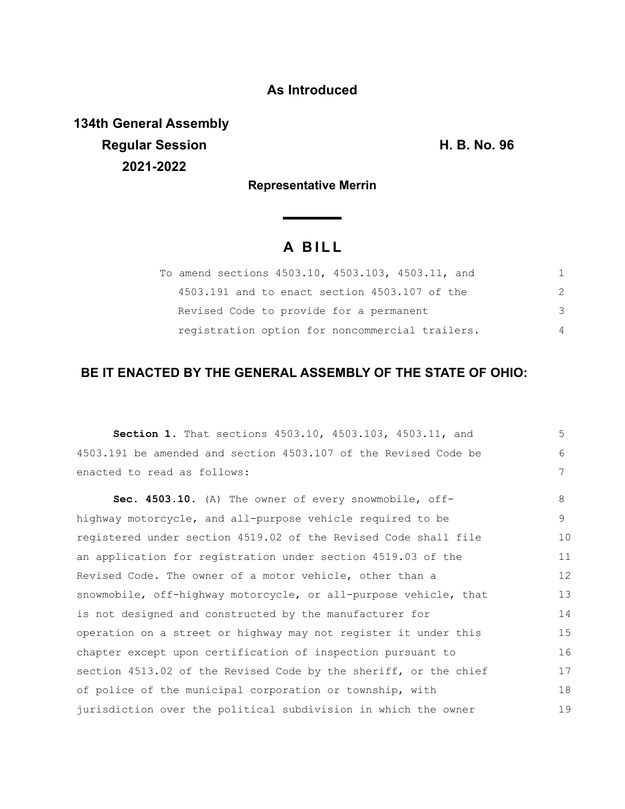## **As Introduced**

**134th General Assembly Regular Session H. B. No. 96 2021-2022**

**Representative Merrin**

# **A B I L L**

| To amend sections 4503.10, 4503.103, 4503.11, and |                |
|---------------------------------------------------|----------------|
| 4503.191 and to enact section 4503.107 of the     | $\mathcal{P}$  |
| Revised Code to provide for a permanent           | 3              |
| registration option for noncommercial trailers.   | $\overline{4}$ |

## **BE IT ENACTED BY THE GENERAL ASSEMBLY OF THE STATE OF OHIO:**

| <b>Section 1.</b> That sections 4503.10, 4503.103, 4503.11, and  | 5  |  |  |  |
|------------------------------------------------------------------|----|--|--|--|
| 4503.191 be amended and section 4503.107 of the Revised Code be  |    |  |  |  |
| enacted to read as follows:                                      | 7  |  |  |  |
| Sec. 4503.10. (A) The owner of every snowmobile, off-            | 8  |  |  |  |
| highway motorcycle, and all-purpose vehicle required to be       | 9  |  |  |  |
| registered under section 4519.02 of the Revised Code shall file  | 10 |  |  |  |
| an application for registration under section 4519.03 of the     | 11 |  |  |  |
| Revised Code. The owner of a motor vehicle, other than a         | 12 |  |  |  |
| snowmobile, off-highway motorcycle, or all-purpose vehicle, that | 13 |  |  |  |
| is not designed and constructed by the manufacturer for          | 14 |  |  |  |
| operation on a street or highway may not register it under this  | 15 |  |  |  |
| chapter except upon certification of inspection pursuant to      | 16 |  |  |  |
| section 4513.02 of the Revised Code by the sheriff, or the chief | 17 |  |  |  |
| of police of the municipal corporation or township, with         | 18 |  |  |  |
| jurisdiction over the political subdivision in which the owner   | 19 |  |  |  |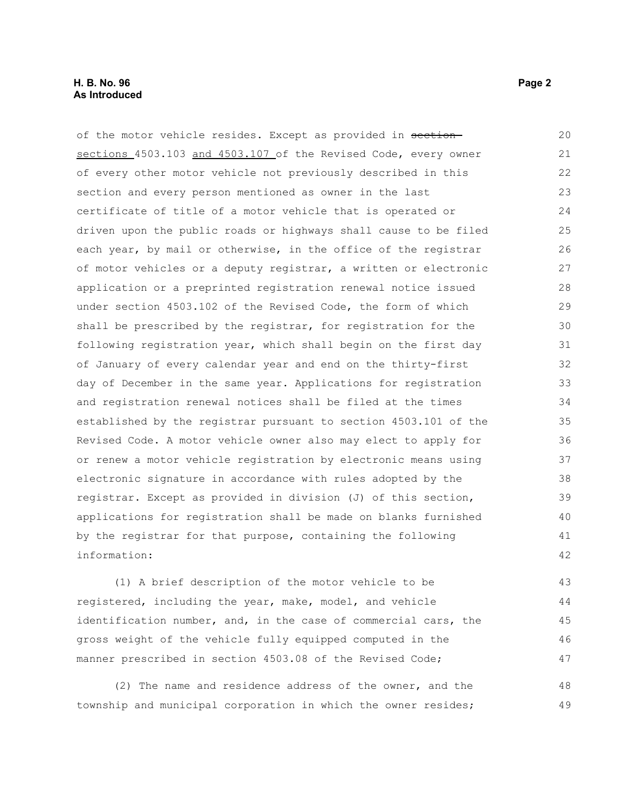of the motor vehicle resides. Except as provided in sectionsections 4503.103 and 4503.107 of the Revised Code, every owner of every other motor vehicle not previously described in this section and every person mentioned as owner in the last certificate of title of a motor vehicle that is operated or driven upon the public roads or highways shall cause to be filed each year, by mail or otherwise, in the office of the registrar of motor vehicles or a deputy registrar, a written or electronic application or a preprinted registration renewal notice issued under section 4503.102 of the Revised Code, the form of which shall be prescribed by the registrar, for registration for the following registration year, which shall begin on the first day of January of every calendar year and end on the thirty-first day of December in the same year. Applications for registration and registration renewal notices shall be filed at the times established by the registrar pursuant to section 4503.101 of the Revised Code. A motor vehicle owner also may elect to apply for or renew a motor vehicle registration by electronic means using electronic signature in accordance with rules adopted by the registrar. Except as provided in division (J) of this section, applications for registration shall be made on blanks furnished by the registrar for that purpose, containing the following information: 20 21 22 23 24 25 26 27 28 29 30 31 32 33 34 35 36 37 38 39 40 41 42

(1) A brief description of the motor vehicle to be registered, including the year, make, model, and vehicle identification number, and, in the case of commercial cars, the gross weight of the vehicle fully equipped computed in the manner prescribed in section 4503.08 of the Revised Code; 43 44 45 46 47

(2) The name and residence address of the owner, and the township and municipal corporation in which the owner resides; 48 49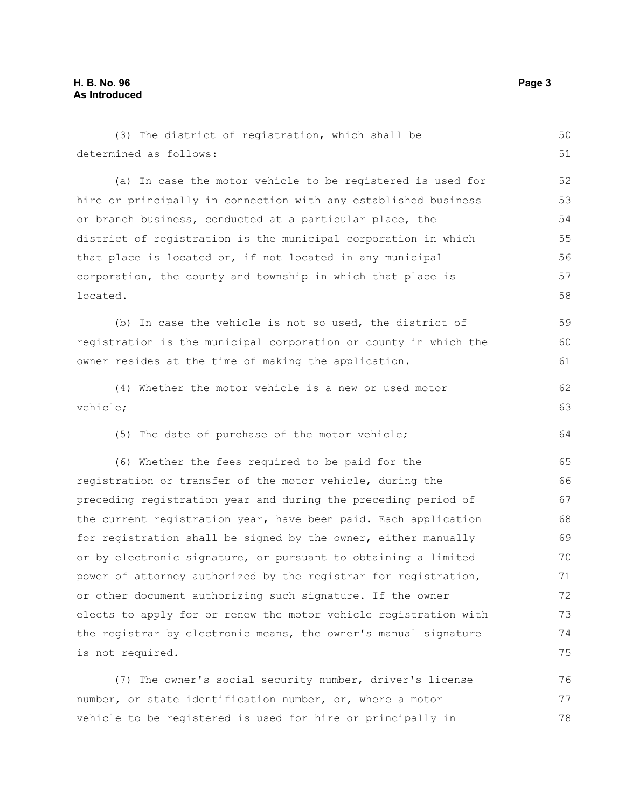| (3) The district of registration, which shall be                 | 50 |
|------------------------------------------------------------------|----|
| determined as follows:                                           | 51 |
| (a) In case the motor vehicle to be registered is used for       | 52 |
| hire or principally in connection with any established business  | 53 |
| or branch business, conducted at a particular place, the         | 54 |
| district of registration is the municipal corporation in which   | 55 |
| that place is located or, if not located in any municipal        | 56 |
| corporation, the county and township in which that place is      | 57 |
| located.                                                         | 58 |
| (b) In case the vehicle is not so used, the district of          | 59 |
| registration is the municipal corporation or county in which the | 60 |
| owner resides at the time of making the application.             | 61 |
| (4) Whether the motor vehicle is a new or used motor             | 62 |
| vehicle;                                                         | 63 |
| (5) The date of purchase of the motor vehicle;                   | 64 |
| (6) Whether the fees required to be paid for the                 | 65 |
| registration or transfer of the motor vehicle, during the        | 66 |
| preceding registration year and during the preceding period of   | 67 |
| the current registration year, have been paid. Each application  | 68 |
| for registration shall be signed by the owner, either manually   | 69 |
| or by electronic signature, or pursuant to obtaining a limited   | 70 |
| power of attorney authorized by the registrar for registration,  | 71 |
| or other document authorizing such signature. If the owner       | 72 |
| elects to apply for or renew the motor vehicle registration with | 73 |
| the registrar by electronic means, the owner's manual signature  | 74 |
| is not required.                                                 | 75 |
| (7) The owner's social security number, driver's license         | 76 |
| number, or state identification number, or, where a motor        | 77 |

vehicle to be registered is used for hire or principally in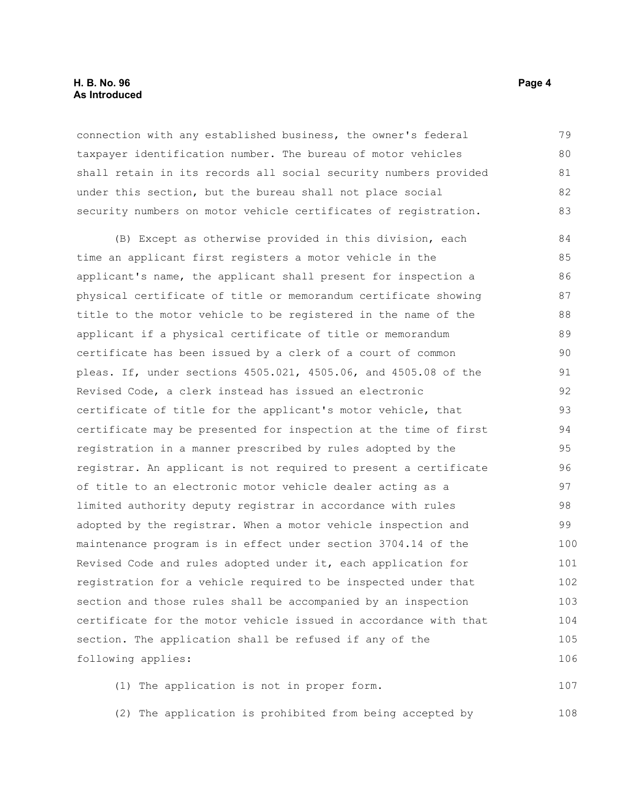#### **H. B. No. 96 Page 4 As Introduced**

connection with any established business, the owner's federal taxpayer identification number. The bureau of motor vehicles shall retain in its records all social security numbers provided under this section, but the bureau shall not place social security numbers on motor vehicle certificates of registration. 79 80 81 82 83

(B) Except as otherwise provided in this division, each time an applicant first registers a motor vehicle in the applicant's name, the applicant shall present for inspection a physical certificate of title or memorandum certificate showing title to the motor vehicle to be registered in the name of the applicant if a physical certificate of title or memorandum certificate has been issued by a clerk of a court of common pleas. If, under sections 4505.021, 4505.06, and 4505.08 of the Revised Code, a clerk instead has issued an electronic certificate of title for the applicant's motor vehicle, that certificate may be presented for inspection at the time of first registration in a manner prescribed by rules adopted by the registrar. An applicant is not required to present a certificate of title to an electronic motor vehicle dealer acting as a limited authority deputy registrar in accordance with rules adopted by the registrar. When a motor vehicle inspection and maintenance program is in effect under section 3704.14 of the Revised Code and rules adopted under it, each application for registration for a vehicle required to be inspected under that section and those rules shall be accompanied by an inspection certificate for the motor vehicle issued in accordance with that section. The application shall be refused if any of the following applies: 84 85 86 87 88 89 90 91 92 93 94 95 96 97 98 99 100 101 102 103 104 105 106

|  | (1) The application is not in proper form. |  |  |  | 107 |
|--|--------------------------------------------|--|--|--|-----|
|  |                                            |  |  |  |     |

(2) The application is prohibited from being accepted by 108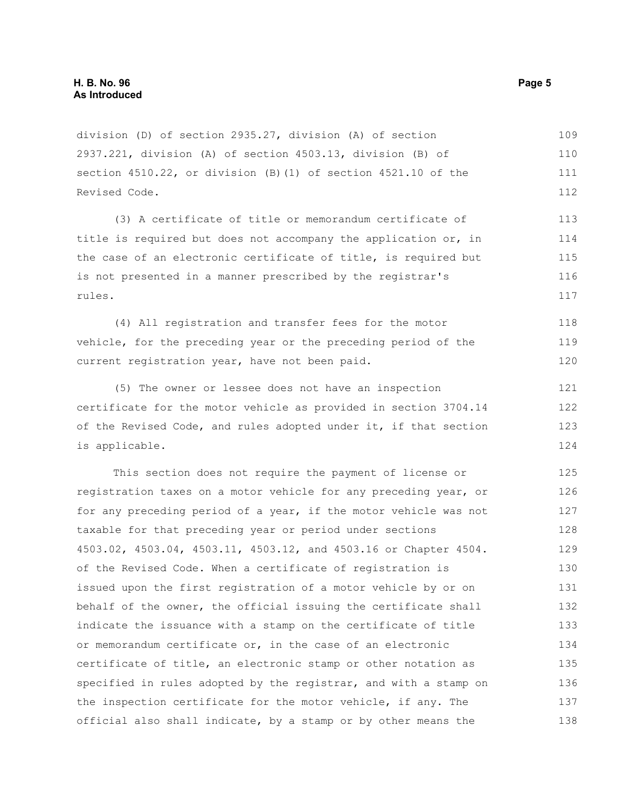division (D) of section 2935.27, division (A) of section 2937.221, division (A) of section 4503.13, division (B) of section 4510.22, or division (B)(1) of section 4521.10 of the Revised Code. 109 110 111 112

(3) A certificate of title or memorandum certificate of title is required but does not accompany the application or, in the case of an electronic certificate of title, is required but is not presented in a manner prescribed by the registrar's rules. 113 114 115 116 117

(4) All registration and transfer fees for the motor vehicle, for the preceding year or the preceding period of the current registration year, have not been paid. 118 119 120

(5) The owner or lessee does not have an inspection certificate for the motor vehicle as provided in section 3704.14 of the Revised Code, and rules adopted under it, if that section is applicable. 121 122 123 124

This section does not require the payment of license or registration taxes on a motor vehicle for any preceding year, or for any preceding period of a year, if the motor vehicle was not taxable for that preceding year or period under sections 4503.02, 4503.04, 4503.11, 4503.12, and 4503.16 or Chapter 4504. of the Revised Code. When a certificate of registration is issued upon the first registration of a motor vehicle by or on behalf of the owner, the official issuing the certificate shall indicate the issuance with a stamp on the certificate of title or memorandum certificate or, in the case of an electronic certificate of title, an electronic stamp or other notation as specified in rules adopted by the registrar, and with a stamp on the inspection certificate for the motor vehicle, if any. The official also shall indicate, by a stamp or by other means the 125 126 127 128 129 130 131 132 133 134 135 136 137 138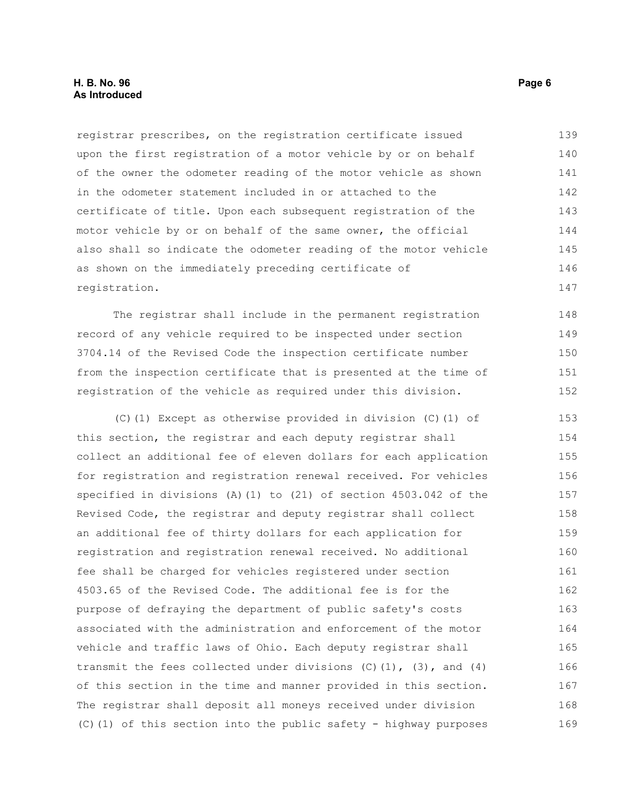#### **H. B. No. 96 Page 6 As Introduced**

registrar prescribes, on the registration certificate issued upon the first registration of a motor vehicle by or on behalf of the owner the odometer reading of the motor vehicle as shown in the odometer statement included in or attached to the certificate of title. Upon each subsequent registration of the motor vehicle by or on behalf of the same owner, the official also shall so indicate the odometer reading of the motor vehicle as shown on the immediately preceding certificate of registration. 139 140 141 142 143 144 145 146 147

The registrar shall include in the permanent registration record of any vehicle required to be inspected under section 3704.14 of the Revised Code the inspection certificate number from the inspection certificate that is presented at the time of registration of the vehicle as required under this division.

(C)(1) Except as otherwise provided in division (C)(1) of this section, the registrar and each deputy registrar shall collect an additional fee of eleven dollars for each application for registration and registration renewal received. For vehicles specified in divisions (A)(1) to (21) of section 4503.042 of the Revised Code, the registrar and deputy registrar shall collect an additional fee of thirty dollars for each application for registration and registration renewal received. No additional fee shall be charged for vehicles registered under section 4503.65 of the Revised Code. The additional fee is for the purpose of defraying the department of public safety's costs associated with the administration and enforcement of the motor vehicle and traffic laws of Ohio. Each deputy registrar shall transmit the fees collected under divisions  $(C)$   $(1)$ ,  $(3)$ , and  $(4)$ of this section in the time and manner provided in this section. The registrar shall deposit all moneys received under division (C)(1) of this section into the public safety - highway purposes 153 154 155 156 157 158 159 160 161 162 163 164 165 166 167 168 169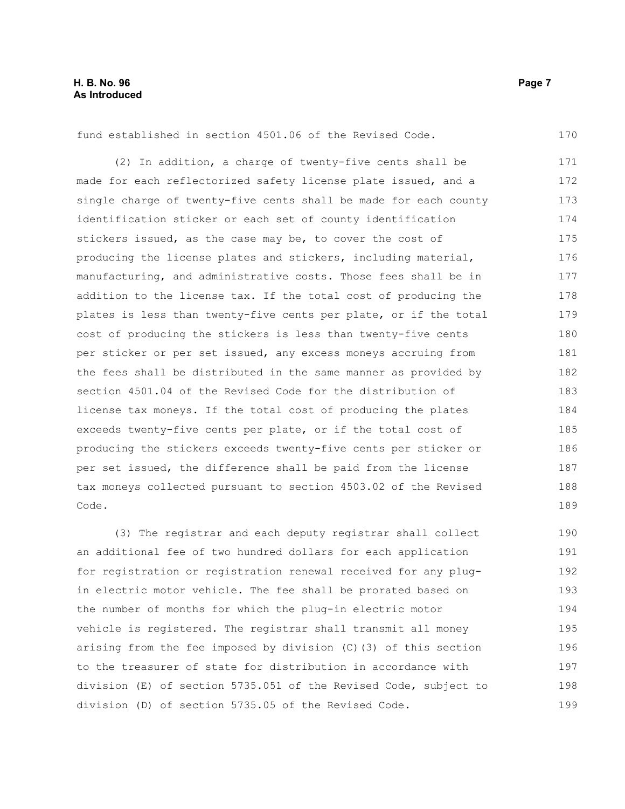170

fund established in section 4501.06 of the Revised Code.

(2) In addition, a charge of twenty-five cents shall be made for each reflectorized safety license plate issued, and a single charge of twenty-five cents shall be made for each county identification sticker or each set of county identification stickers issued, as the case may be, to cover the cost of producing the license plates and stickers, including material, manufacturing, and administrative costs. Those fees shall be in addition to the license tax. If the total cost of producing the plates is less than twenty-five cents per plate, or if the total cost of producing the stickers is less than twenty-five cents per sticker or per set issued, any excess moneys accruing from the fees shall be distributed in the same manner as provided by section 4501.04 of the Revised Code for the distribution of license tax moneys. If the total cost of producing the plates exceeds twenty-five cents per plate, or if the total cost of producing the stickers exceeds twenty-five cents per sticker or per set issued, the difference shall be paid from the license tax moneys collected pursuant to section 4503.02 of the Revised Code. 171 172 173 174 175 176 177 178 179 180 181 182 183 184 185 186 187 188 189

(3) The registrar and each deputy registrar shall collect an additional fee of two hundred dollars for each application for registration or registration renewal received for any plugin electric motor vehicle. The fee shall be prorated based on the number of months for which the plug-in electric motor vehicle is registered. The registrar shall transmit all money arising from the fee imposed by division (C)(3) of this section to the treasurer of state for distribution in accordance with division (E) of section 5735.051 of the Revised Code, subject to division (D) of section 5735.05 of the Revised Code. 190 191 192 193 194 195 196 197 198 199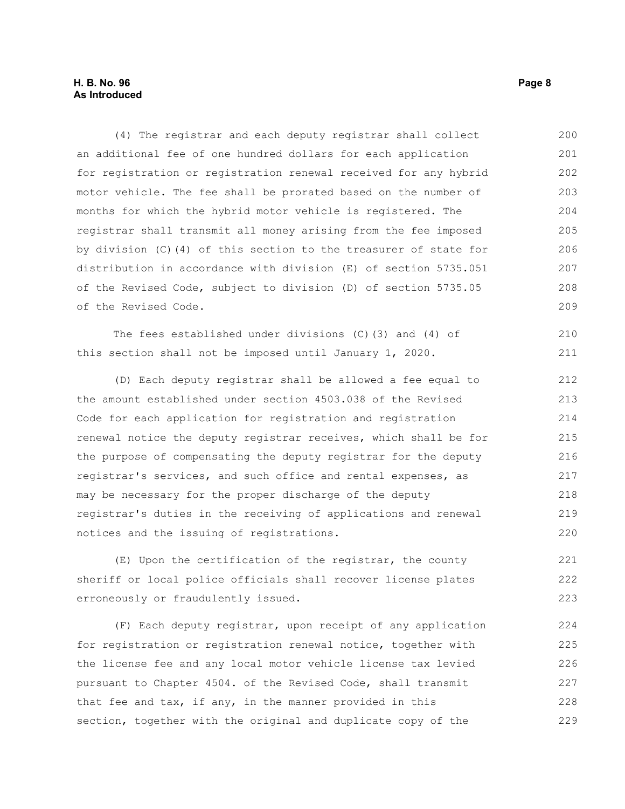#### **H. B. No. 96 Page 8 As Introduced**

(4) The registrar and each deputy registrar shall collect an additional fee of one hundred dollars for each application for registration or registration renewal received for any hybrid motor vehicle. The fee shall be prorated based on the number of months for which the hybrid motor vehicle is registered. The registrar shall transmit all money arising from the fee imposed by division (C)(4) of this section to the treasurer of state for distribution in accordance with division (E) of section 5735.051 of the Revised Code, subject to division (D) of section 5735.05 of the Revised Code. The fees established under divisions (C)(3) and (4) of this section shall not be imposed until January 1, 2020. (D) Each deputy registrar shall be allowed a fee equal to the amount established under section 4503.038 of the Revised Code for each application for registration and registration renewal notice the deputy registrar receives, which shall be for the purpose of compensating the deputy registrar for the deputy registrar's services, and such office and rental expenses, as may be necessary for the proper discharge of the deputy registrar's duties in the receiving of applications and renewal notices and the issuing of registrations. (E) Upon the certification of the registrar, the county sheriff or local police officials shall recover license plates erroneously or fraudulently issued. 200 201 202 203 204 205 206 207 208 209 210 211 212 213 214 215 216 217 218 219 220 221 222 223

(F) Each deputy registrar, upon receipt of any application for registration or registration renewal notice, together with the license fee and any local motor vehicle license tax levied pursuant to Chapter 4504. of the Revised Code, shall transmit that fee and tax, if any, in the manner provided in this section, together with the original and duplicate copy of the 224 225 226 227 228 229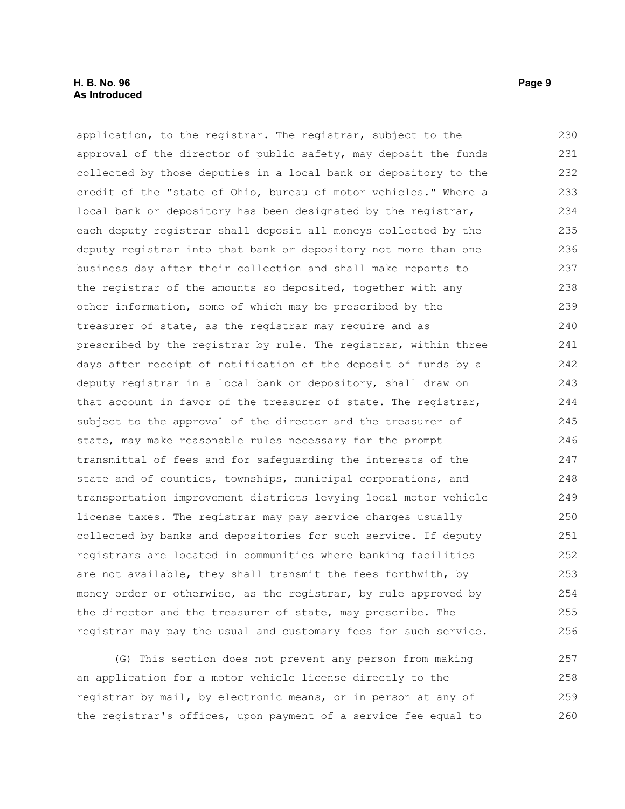#### **H. B. No. 96 Page 9 As Introduced**

application, to the registrar. The registrar, subject to the approval of the director of public safety, may deposit the funds collected by those deputies in a local bank or depository to the credit of the "state of Ohio, bureau of motor vehicles." Where a local bank or depository has been designated by the registrar, each deputy registrar shall deposit all moneys collected by the deputy registrar into that bank or depository not more than one business day after their collection and shall make reports to the registrar of the amounts so deposited, together with any other information, some of which may be prescribed by the treasurer of state, as the registrar may require and as prescribed by the registrar by rule. The registrar, within three days after receipt of notification of the deposit of funds by a deputy registrar in a local bank or depository, shall draw on that account in favor of the treasurer of state. The registrar, subject to the approval of the director and the treasurer of state, may make reasonable rules necessary for the prompt transmittal of fees and for safeguarding the interests of the state and of counties, townships, municipal corporations, and transportation improvement districts levying local motor vehicle license taxes. The registrar may pay service charges usually collected by banks and depositories for such service. If deputy registrars are located in communities where banking facilities are not available, they shall transmit the fees forthwith, by money order or otherwise, as the registrar, by rule approved by the director and the treasurer of state, may prescribe. The registrar may pay the usual and customary fees for such service. 230 231 232 233 234 235 236 237 238 239 240 241 242 243 244 245 246 247 248 249 250 251 252 253 254 255 256

(G) This section does not prevent any person from making an application for a motor vehicle license directly to the registrar by mail, by electronic means, or in person at any of the registrar's offices, upon payment of a service fee equal to 257 258 259 260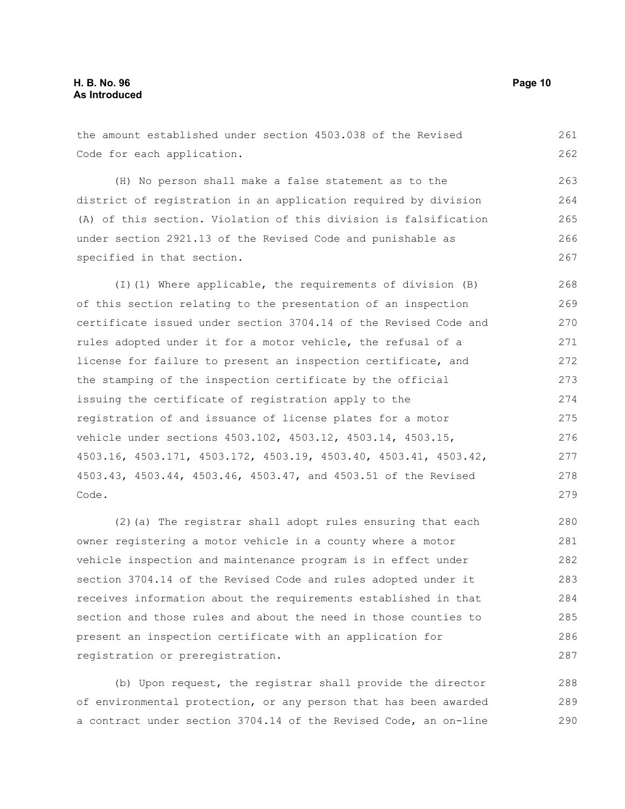the amount established under section 4503.038 of the Revised Code for each application.

(H) No person shall make a false statement as to the district of registration in an application required by division (A) of this section. Violation of this division is falsification under section 2921.13 of the Revised Code and punishable as specified in that section. 263 264 265 266 267

(I)(1) Where applicable, the requirements of division (B) of this section relating to the presentation of an inspection certificate issued under section 3704.14 of the Revised Code and rules adopted under it for a motor vehicle, the refusal of a license for failure to present an inspection certificate, and the stamping of the inspection certificate by the official issuing the certificate of registration apply to the registration of and issuance of license plates for a motor vehicle under sections 4503.102, 4503.12, 4503.14, 4503.15, 4503.16, 4503.171, 4503.172, 4503.19, 4503.40, 4503.41, 4503.42, 4503.43, 4503.44, 4503.46, 4503.47, and 4503.51 of the Revised Code. 268 269 270 271 272 273 274 275 276 277 278 279

(2)(a) The registrar shall adopt rules ensuring that each owner registering a motor vehicle in a county where a motor vehicle inspection and maintenance program is in effect under section 3704.14 of the Revised Code and rules adopted under it receives information about the requirements established in that section and those rules and about the need in those counties to present an inspection certificate with an application for registration or preregistration.

(b) Upon request, the registrar shall provide the director of environmental protection, or any person that has been awarded a contract under section 3704.14 of the Revised Code, an on-line 288 289 290

261 262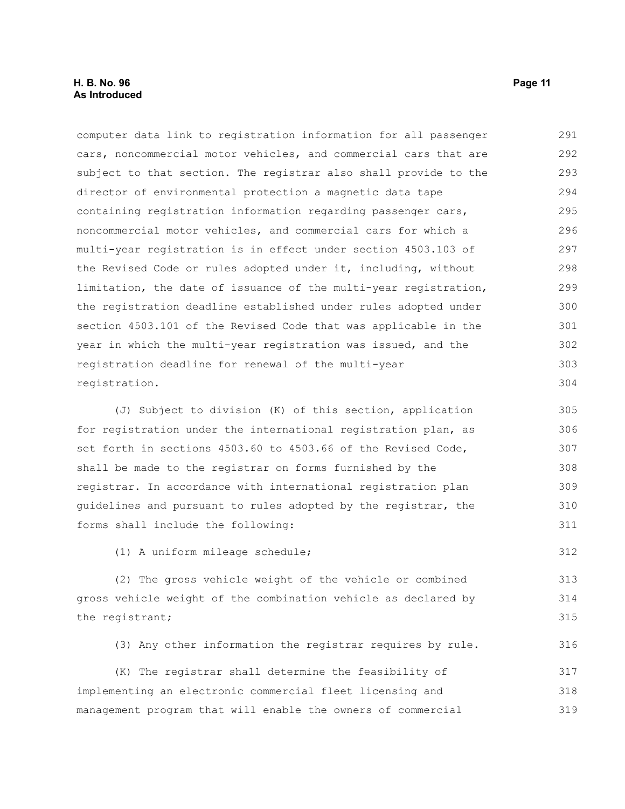computer data link to registration information for all passenger cars, noncommercial motor vehicles, and commercial cars that are subject to that section. The registrar also shall provide to the director of environmental protection a magnetic data tape containing registration information regarding passenger cars, noncommercial motor vehicles, and commercial cars for which a multi-year registration is in effect under section 4503.103 of the Revised Code or rules adopted under it, including, without limitation, the date of issuance of the multi-year registration, the registration deadline established under rules adopted under section 4503.101 of the Revised Code that was applicable in the year in which the multi-year registration was issued, and the registration deadline for renewal of the multi-year registration. 291 292 293 294 295 296 297 298 299 300 301 302 303 304

(J) Subject to division (K) of this section, application for registration under the international registration plan, as set forth in sections 4503.60 to 4503.66 of the Revised Code, shall be made to the registrar on forms furnished by the registrar. In accordance with international registration plan guidelines and pursuant to rules adopted by the registrar, the forms shall include the following: 305 306 307 308 309 310 311

(1) A uniform mileage schedule; 312

(2) The gross vehicle weight of the vehicle or combined gross vehicle weight of the combination vehicle as declared by the registrant;

(3) Any other information the registrar requires by rule. 316

(K) The registrar shall determine the feasibility of implementing an electronic commercial fleet licensing and management program that will enable the owners of commercial 317 318 319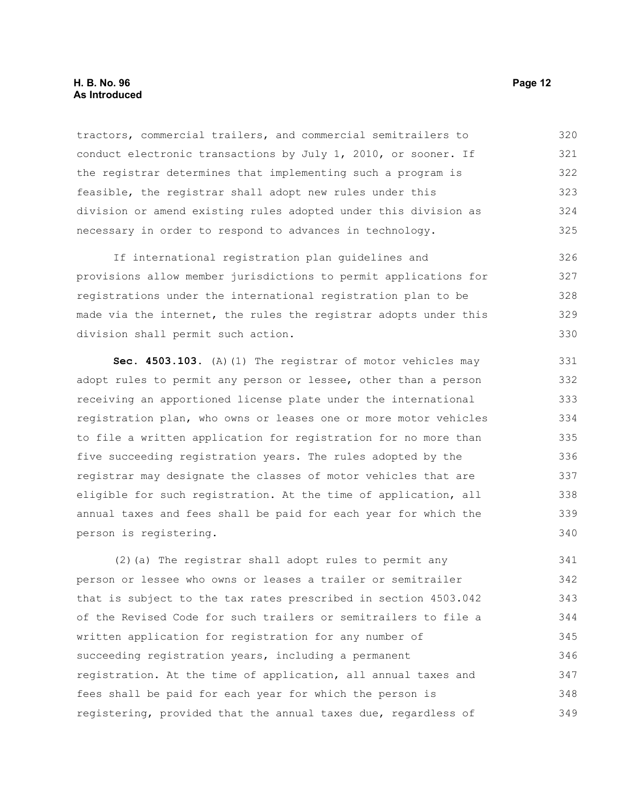#### **H. B. No. 96 Page 12 As Introduced**

tractors, commercial trailers, and commercial semitrailers to conduct electronic transactions by July 1, 2010, or sooner. If the registrar determines that implementing such a program is feasible, the registrar shall adopt new rules under this division or amend existing rules adopted under this division as necessary in order to respond to advances in technology. 320 321 322 323 324 325

If international registration plan guidelines and provisions allow member jurisdictions to permit applications for registrations under the international registration plan to be made via the internet, the rules the registrar adopts under this division shall permit such action. 326 327 328 329 330

**Sec. 4503.103.** (A)(1) The registrar of motor vehicles may adopt rules to permit any person or lessee, other than a person receiving an apportioned license plate under the international registration plan, who owns or leases one or more motor vehicles to file a written application for registration for no more than five succeeding registration years. The rules adopted by the registrar may designate the classes of motor vehicles that are eligible for such registration. At the time of application, all annual taxes and fees shall be paid for each year for which the person is registering.

(2)(a) The registrar shall adopt rules to permit any person or lessee who owns or leases a trailer or semitrailer that is subject to the tax rates prescribed in section 4503.042 of the Revised Code for such trailers or semitrailers to file a written application for registration for any number of succeeding registration years, including a permanent registration. At the time of application, all annual taxes and fees shall be paid for each year for which the person is registering, provided that the annual taxes due, regardless of 341 342 343 344 345 346 347 348 349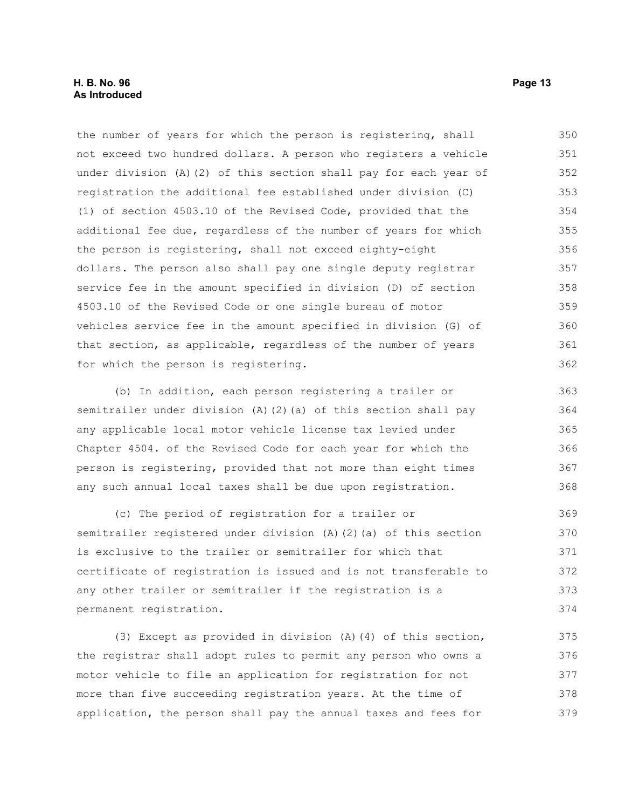#### **H. B. No. 96 Page 13 As Introduced**

the number of years for which the person is registering, shall not exceed two hundred dollars. A person who registers a vehicle under division (A)(2) of this section shall pay for each year of registration the additional fee established under division (C) (1) of section 4503.10 of the Revised Code, provided that the additional fee due, regardless of the number of years for which the person is registering, shall not exceed eighty-eight dollars. The person also shall pay one single deputy registrar service fee in the amount specified in division (D) of section 4503.10 of the Revised Code or one single bureau of motor vehicles service fee in the amount specified in division (G) of that section, as applicable, regardless of the number of years for which the person is registering. 350 351 352 353 354 355 356 357 358 359 360 361 362

(b) In addition, each person registering a trailer or semitrailer under division (A)(2)(a) of this section shall pay any applicable local motor vehicle license tax levied under Chapter 4504. of the Revised Code for each year for which the person is registering, provided that not more than eight times any such annual local taxes shall be due upon registration. 363 364 365 366 367 368

(c) The period of registration for a trailer or semitrailer registered under division (A)(2)(a) of this section is exclusive to the trailer or semitrailer for which that certificate of registration is issued and is not transferable to any other trailer or semitrailer if the registration is a permanent registration. 369 370 371 372 373 374

(3) Except as provided in division (A)(4) of this section, the registrar shall adopt rules to permit any person who owns a motor vehicle to file an application for registration for not more than five succeeding registration years. At the time of application, the person shall pay the annual taxes and fees for 375 376 377 378 379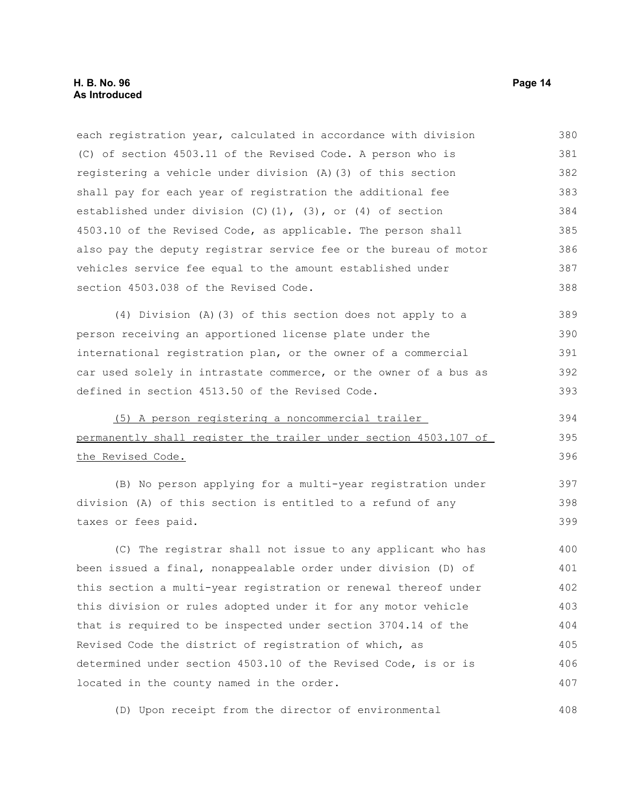each registration year, calculated in accordance with division (C) of section 4503.11 of the Revised Code. A person who is registering a vehicle under division (A)(3) of this section shall pay for each year of registration the additional fee established under division  $(C)$   $(1)$ ,  $(3)$ , or  $(4)$  of section 4503.10 of the Revised Code, as applicable. The person shall also pay the deputy registrar service fee or the bureau of motor vehicles service fee equal to the amount established under section 4503.038 of the Revised Code. 380 381 382 383 384 385 386 387 388

(4) Division (A)(3) of this section does not apply to a person receiving an apportioned license plate under the international registration plan, or the owner of a commercial car used solely in intrastate commerce, or the owner of a bus as defined in section 4513.50 of the Revised Code. 389 390 391 392 393

(5) A person registering a noncommercial trailer permanently shall register the trailer under section 4503.107 of the Revised Code. 394 395 396

(B) No person applying for a multi-year registration under division (A) of this section is entitled to a refund of any taxes or fees paid.

(C) The registrar shall not issue to any applicant who has been issued a final, nonappealable order under division (D) of this section a multi-year registration or renewal thereof under this division or rules adopted under it for any motor vehicle that is required to be inspected under section 3704.14 of the Revised Code the district of registration of which, as determined under section 4503.10 of the Revised Code, is or is located in the county named in the order. 400 401 402 403 404 405 406 407

(D) Upon receipt from the director of environmental

397 398 399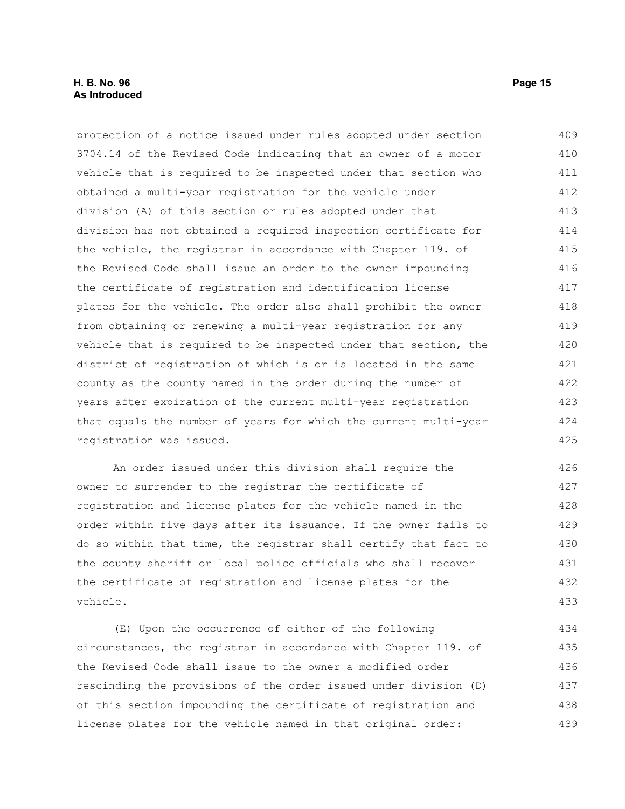protection of a notice issued under rules adopted under section 3704.14 of the Revised Code indicating that an owner of a motor vehicle that is required to be inspected under that section who obtained a multi-year registration for the vehicle under division (A) of this section or rules adopted under that division has not obtained a required inspection certificate for the vehicle, the registrar in accordance with Chapter 119. of the Revised Code shall issue an order to the owner impounding the certificate of registration and identification license plates for the vehicle. The order also shall prohibit the owner from obtaining or renewing a multi-year registration for any vehicle that is required to be inspected under that section, the district of registration of which is or is located in the same county as the county named in the order during the number of years after expiration of the current multi-year registration that equals the number of years for which the current multi-year registration was issued. 409 410 411 412 413 414 415 416 417 418 419 420 421 422 423 424 425

An order issued under this division shall require the owner to surrender to the registrar the certificate of registration and license plates for the vehicle named in the order within five days after its issuance. If the owner fails to do so within that time, the registrar shall certify that fact to the county sheriff or local police officials who shall recover the certificate of registration and license plates for the vehicle. 426 427 428 429 430 431 432 433

(E) Upon the occurrence of either of the following circumstances, the registrar in accordance with Chapter 119. of the Revised Code shall issue to the owner a modified order rescinding the provisions of the order issued under division (D) of this section impounding the certificate of registration and license plates for the vehicle named in that original order: 434 435 436 437 438 439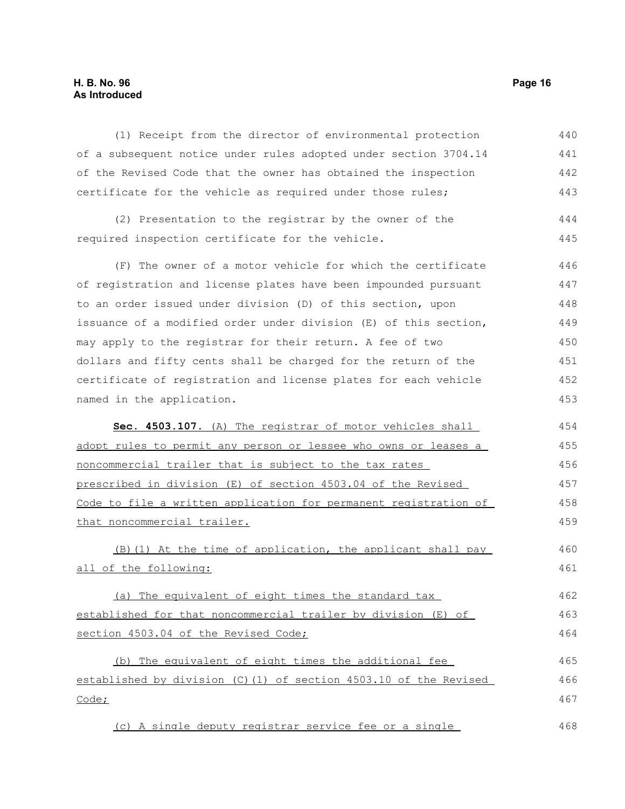### **H. B. No. 96 Page 16 As Introduced**

| (1) Receipt from the director of environmental protection         | 440 |
|-------------------------------------------------------------------|-----|
| of a subsequent notice under rules adopted under section 3704.14  | 441 |
| of the Revised Code that the owner has obtained the inspection    | 442 |
| certificate for the vehicle as required under those rules;        | 443 |
| (2) Presentation to the registrar by the owner of the             | 444 |
| required inspection certificate for the vehicle.                  | 445 |
| (F) The owner of a motor vehicle for which the certificate        | 446 |
| of registration and license plates have been impounded pursuant   | 447 |
| to an order issued under division (D) of this section, upon       | 448 |
| issuance of a modified order under division (E) of this section,  | 449 |
| may apply to the registrar for their return. A fee of two         | 450 |
| dollars and fifty cents shall be charged for the return of the    | 451 |
| certificate of registration and license plates for each vehicle   | 452 |
| named in the application.                                         | 453 |
| Sec. 4503.107. (A) The registrar of motor vehicles shall          | 454 |
| adopt rules to permit any person or lessee who owns or leases a   | 455 |
| noncommercial trailer that is subject to the tax rates            | 456 |
| prescribed in division (E) of section 4503.04 of the Revised      | 457 |
| Code to file a written application for permanent registration of  | 458 |
| that noncommercial trailer.                                       | 459 |
| (B) (1) At the time of application, the applicant shall pay       | 460 |
| all of the following:                                             | 461 |
| (a) The equivalent of eight times the standard tax                | 462 |
| established for that noncommercial trailer by division (E) of     | 463 |
| section 4503.04 of the Revised Code;                              | 464 |
| (b) The equivalent of eight times the additional fee              | 465 |
| established by division (C) (1) of section 4503.10 of the Revised | 466 |
| Code;                                                             | 467 |
| (c) A single deputy registrar service fee or a single             | 468 |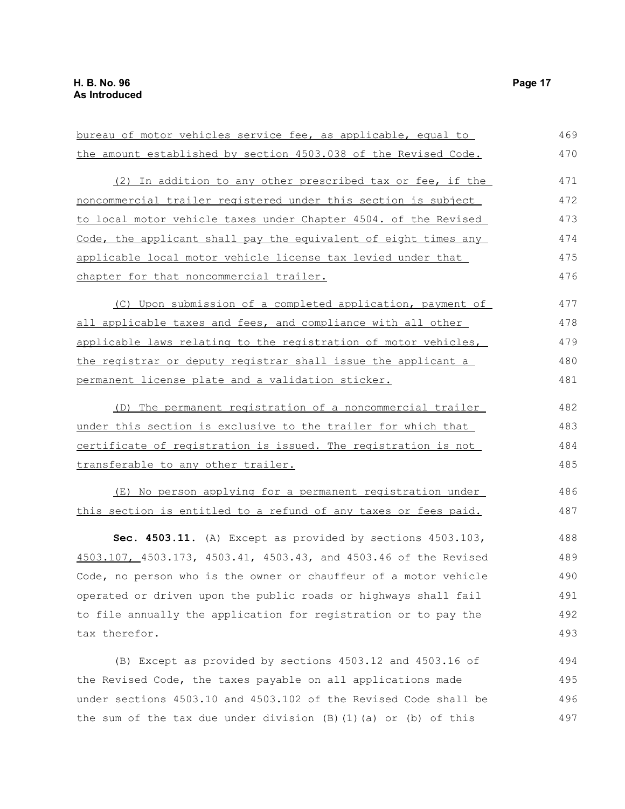| bureau of motor vehicles service fee, as applicable, equal to        | 469 |
|----------------------------------------------------------------------|-----|
| the amount established by section 4503.038 of the Revised Code.      | 470 |
| (2) In addition to any other prescribed tax or fee, if the           | 471 |
| noncommercial trailer registered under this section is subject       | 472 |
| to local motor vehicle taxes under Chapter 4504. of the Revised      | 473 |
| Code, the applicant shall pay the equivalent of eight times any      | 474 |
| applicable local motor vehicle license tax levied under that         | 475 |
| chapter for that noncommercial trailer.                              | 476 |
| (C) Upon submission of a completed application, payment of           | 477 |
| all applicable taxes and fees, and compliance with all other         | 478 |
| applicable laws relating to the registration of motor vehicles,      | 479 |
| the registrar or deputy registrar shall issue the applicant a        | 480 |
| permanent license plate and a validation sticker.                    | 481 |
| (D) The permanent registration of a noncommercial trailer            | 482 |
| under this section is exclusive to the trailer for which that        | 483 |
| certificate of registration is issued. The registration is not       | 484 |
| transferable to any other trailer.                                   | 485 |
| (E) No person applying for a permanent registration under            | 486 |
| this section is entitled to a refund of any taxes or fees paid.      | 487 |
| Sec. 4503.11. (A) Except as provided by sections 4503.103,           | 488 |
| 4503.107, 4503.173, 4503.41, 4503.43, and 4503.46 of the Revised     | 489 |
| Code, no person who is the owner or chauffeur of a motor vehicle     | 490 |
| operated or driven upon the public roads or highways shall fail      | 491 |
| to file annually the application for registration or to pay the      | 492 |
| tax therefor.                                                        | 493 |
| (B) Except as provided by sections 4503.12 and 4503.16 of            | 494 |
| the Revised Code, the taxes payable on all applications made         | 495 |
| under sections 4503.10 and 4503.102 of the Revised Code shall be     | 496 |
| the sum of the tax due under division $(B) (1) (a)$ or $(b)$ of this | 497 |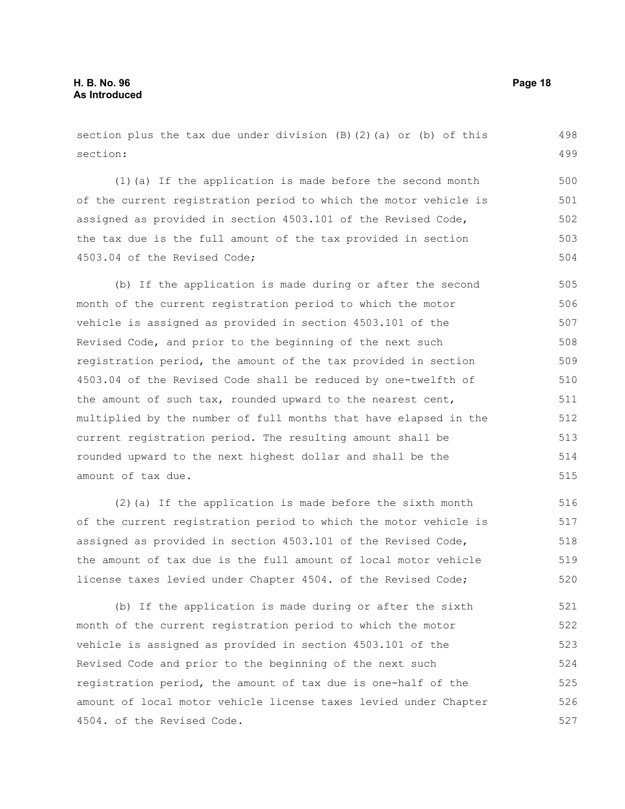section plus the tax due under division  $(B)$   $(2)$   $(a)$  or  $(b)$  of this section:

(1)(a) If the application is made before the second month of the current registration period to which the motor vehicle is assigned as provided in section 4503.101 of the Revised Code, the tax due is the full amount of the tax provided in section 4503.04 of the Revised Code; 500 501 502 503 504

(b) If the application is made during or after the second month of the current registration period to which the motor vehicle is assigned as provided in section 4503.101 of the Revised Code, and prior to the beginning of the next such registration period, the amount of the tax provided in section 4503.04 of the Revised Code shall be reduced by one-twelfth of the amount of such tax, rounded upward to the nearest cent, multiplied by the number of full months that have elapsed in the current registration period. The resulting amount shall be rounded upward to the next highest dollar and shall be the amount of tax due. 505 506 507 508 509 510 511 512 513 514 515

(2)(a) If the application is made before the sixth month of the current registration period to which the motor vehicle is assigned as provided in section 4503.101 of the Revised Code, the amount of tax due is the full amount of local motor vehicle license taxes levied under Chapter 4504. of the Revised Code; 516 517 518 519 520

(b) If the application is made during or after the sixth month of the current registration period to which the motor vehicle is assigned as provided in section 4503.101 of the Revised Code and prior to the beginning of the next such registration period, the amount of tax due is one-half of the amount of local motor vehicle license taxes levied under Chapter 4504. of the Revised Code. 521 522 523 524 525 526 527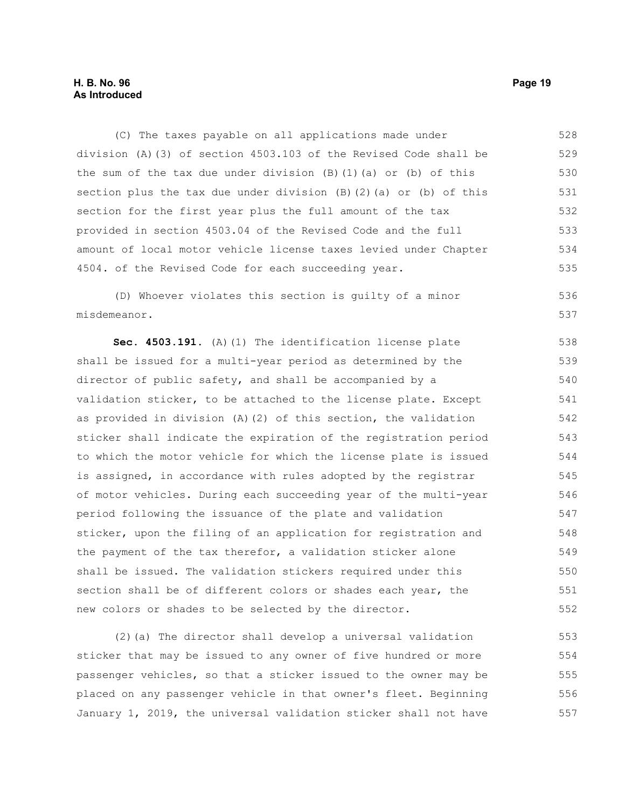#### **H. B. No. 96 Page 19 As Introduced**

(C) The taxes payable on all applications made under division (A)(3) of section 4503.103 of the Revised Code shall be the sum of the tax due under division  $(B)$   $(1)$   $(a)$  or  $(b)$  of this section plus the tax due under division  $(B)$  (2)(a) or (b) of this section for the first year plus the full amount of the tax provided in section 4503.04 of the Revised Code and the full amount of local motor vehicle license taxes levied under Chapter 4504. of the Revised Code for each succeeding year. 528 529 530 531 532 533 534 535

(D) Whoever violates this section is guilty of a minor misdemeanor. 536 537

Sec. 4503.191. (A)(1) The identification license plate shall be issued for a multi-year period as determined by the director of public safety, and shall be accompanied by a validation sticker, to be attached to the license plate. Except as provided in division (A)(2) of this section, the validation sticker shall indicate the expiration of the registration period to which the motor vehicle for which the license plate is issued is assigned, in accordance with rules adopted by the registrar of motor vehicles. During each succeeding year of the multi-year period following the issuance of the plate and validation sticker, upon the filing of an application for registration and the payment of the tax therefor, a validation sticker alone shall be issued. The validation stickers required under this section shall be of different colors or shades each year, the new colors or shades to be selected by the director. 538 539 540 541 542 543 544 545 546 547 548 549 550 551 552

(2)(a) The director shall develop a universal validation sticker that may be issued to any owner of five hundred or more passenger vehicles, so that a sticker issued to the owner may be placed on any passenger vehicle in that owner's fleet. Beginning January 1, 2019, the universal validation sticker shall not have 553 554 555 556 557